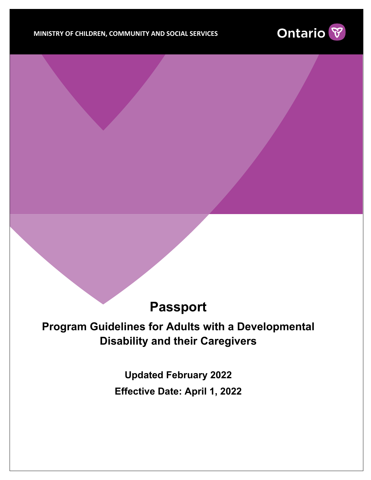

## **Passport**

## **Program Guidelines for Adults with a Developmental Disability and their Caregivers**

**Updated February 2022 Effective Date: April 1, 2022**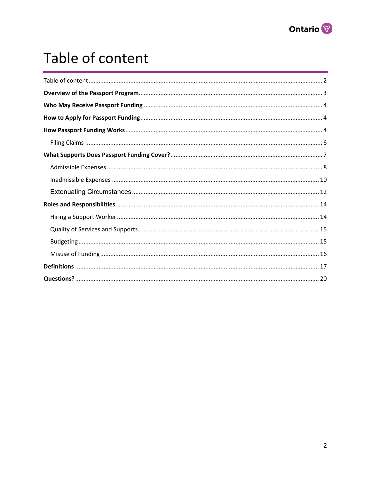

## <span id="page-1-0"></span>Table of content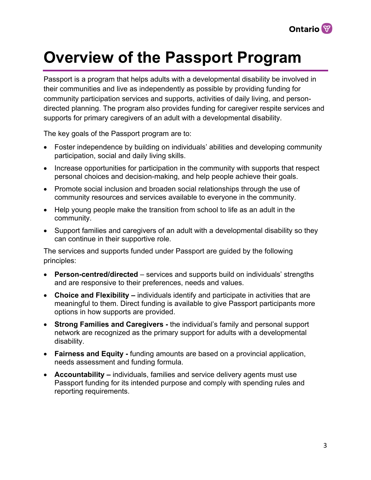

## <span id="page-2-0"></span>**Overview of the Passport Program**

Passport is a program that helps adults with a developmental disability be involved in their communities and live as independently as possible by providing funding for community participation services and supports, activities of daily living, and persondirected planning. The program also provides funding for caregiver respite services and supports for primary caregivers of an adult with a developmental disability.

The key goals of the Passport program are to:

- Foster independence by building on individuals' abilities and developing community participation, social and daily living skills.
- Increase opportunities for participation in the community with supports that respect personal choices and decision-making, and help people achieve their goals.
- Promote social inclusion and broaden social relationships through the use of community resources and services available to everyone in the community.
- Help young people make the transition from school to life as an adult in the community.
- Support families and caregivers of an adult with a developmental disability so they can continue in their supportive role.

The services and supports funded under Passport are guided by the following principles:

- **Person-centred/directed**  services and supports build on individuals' strengths and are responsive to their preferences, needs and values.
- **Choice and Flexibility** individuals identify and participate in activities that are meaningful to them. Direct funding is available to give Passport participants more options in how supports are provided.
- **Strong Families and Caregivers -** the individual's family and personal support network are recognized as the primary support for adults with a developmental disability.
- **Fairness and Equity -** funding amounts are based on a provincial application, needs assessment and funding formula.
- **Accountability** individuals, families and service delivery agents must use Passport funding for its intended purpose and comply with spending rules and reporting requirements.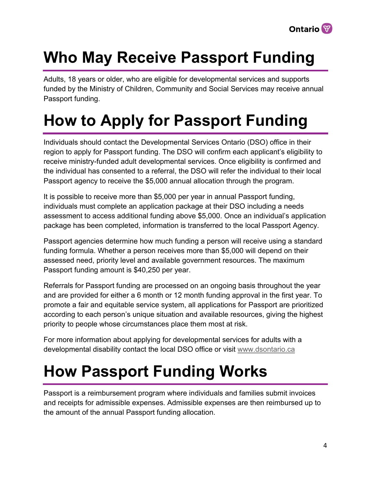

# <span id="page-3-0"></span>**Who May Receive Passport Funding**

Adults, 18 years or older, who are eligible for developmental services and supports funded by the Ministry of Children, Community and Social Services may receive annual Passport funding.

# <span id="page-3-1"></span>**How to Apply for Passport Funding**

Individuals should contact the Developmental Services Ontario (DSO) office in their region to apply for Passport funding. The DSO will confirm each applicant's eligibility to receive ministry-funded adult developmental services. Once eligibility is confirmed and the individual has consented to a referral, the DSO will refer the individual to their local Passport agency to receive the \$5,000 annual allocation through the program.

It is possible to receive more than \$5,000 per year in annual Passport funding, individuals must complete an application package at their DSO including a needs assessment to access additional funding above \$5,000. Once an individual's application package has been completed, information is transferred to the local Passport Agency.

Passport agencies determine how much funding a person will receive using a standard funding formula. Whether a person receives more than \$5,000 will depend on their assessed need, priority level and available government resources. The maximum Passport funding amount is \$40,250 per year.

Referrals for Passport funding are processed on an ongoing basis throughout the year and are provided for either a 6 month or 12 month funding approval in the first year. To promote a fair and equitable service system, all applications for Passport are prioritized according to each person's unique situation and available resources, giving the highest priority to people whose circumstances place them most at risk.

<span id="page-3-2"></span>For more information about applying for developmental services for adults with a developmental disability contact the local DSO office or visit [www.dsontario.ca](http://www.dsontario.ca/)

# **How Passport Funding Works**

Passport is a reimbursement program where individuals and families submit invoices and receipts for admissible expenses. Admissible expenses are then reimbursed up to the amount of the annual Passport funding allocation.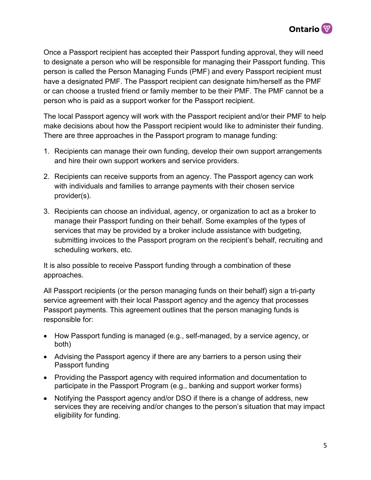

Once a Passport recipient has accepted their Passport funding approval, they will need to designate a person who will be responsible for managing their Passport funding. This person is called the Person Managing Funds (PMF) and every Passport recipient must have a designated PMF. The Passport recipient can designate him/herself as the PMF or can choose a trusted friend or family member to be their PMF. The PMF cannot be a person who is paid as a support worker for the Passport recipient.

The local Passport agency will work with the Passport recipient and/or their PMF to help make decisions about how the Passport recipient would like to administer their funding. There are three approaches in the Passport program to manage funding:

- 1. Recipients can manage their own funding, develop their own support arrangements and hire their own support workers and service providers.
- 2. Recipients can receive supports from an agency. The Passport agency can work with individuals and families to arrange payments with their chosen service provider(s).
- 3. Recipients can choose an individual, agency, or organization to act as a broker to manage their Passport funding on their behalf. Some examples of the types of services that may be provided by a broker include assistance with budgeting, submitting invoices to the Passport program on the recipient's behalf, recruiting and scheduling workers, etc.

It is also possible to receive Passport funding through a combination of these approaches.

All Passport recipients (or the person managing funds on their behalf) sign a tri-party service agreement with their local Passport agency and the agency that processes Passport payments. This agreement outlines that the person managing funds is responsible for:

- How Passport funding is managed (e.g., self-managed, by a service agency, or both)
- Advising the Passport agency if there are any barriers to a person using their Passport funding
- Providing the Passport agency with required information and documentation to participate in the Passport Program (e.g., banking and support worker forms)
- Notifying the Passport agency and/or DSO if there is a change of address, new services they are receiving and/or changes to the person's situation that may impact eligibility for funding.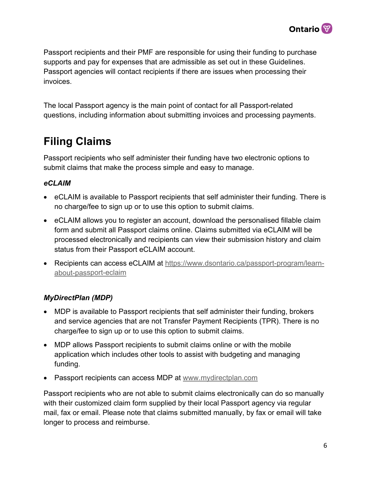

Passport recipients and their PMF are responsible for using their funding to purchase supports and pay for expenses that are admissible as set out in these Guidelines. Passport agencies will contact recipients if there are issues when processing their invoices.

The local Passport agency is the main point of contact for all Passport-related questions, including information about submitting invoices and processing payments.

## <span id="page-5-0"></span>**Filing Claims**

Passport recipients who self administer their funding have two electronic options to submit claims that make the process simple and easy to manage.

#### *eCLAIM*

- eCLAIM is available to Passport recipients that self administer their funding. There is no charge/fee to sign up or to use this option to submit claims.
- eCLAIM allows you to register an account, download the personalised fillable claim form and submit all Passport claims online. Claims submitted via eCLAIM will be processed electronically and recipients can view their submission history and claim status from their Passport eCLAIM account.
- Recipients can access eCLAIM at [https://www.dsontario.ca/passport-program/learn](https://www.dsontario.ca/passport-program/learn-about-passport-eclaim)[about-passport-eclaim](https://www.dsontario.ca/passport-program/learn-about-passport-eclaim)

#### *MyDirectPlan (MDP)*

- MDP is available to Passport recipients that self administer their funding, brokers and service agencies that are not Transfer Payment Recipients (TPR). There is no charge/fee to sign up or to use this option to submit claims.
- MDP allows Passport recipients to submit claims online or with the mobile application which includes other tools to assist with budgeting and managing funding.
- Passport recipients can access MDP at [www.mydirectplan.com](http://www.mydirectplan.com/)

Passport recipients who are not able to submit claims electronically can do so manually with their customized claim form supplied by their local Passport agency via regular mail, fax or email. Please note that claims submitted manually, by fax or email will take longer to process and reimburse.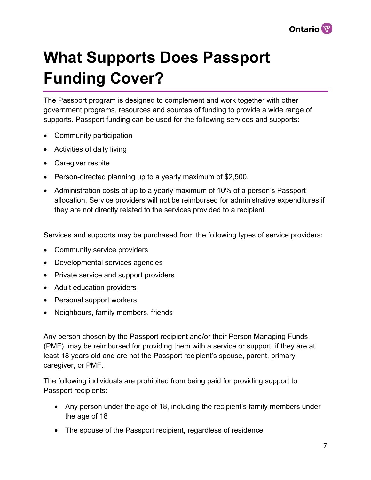

# <span id="page-6-0"></span>**What Supports Does Passport Funding Cover?**

The Passport program is designed to complement and work together with other government programs, resources and sources of funding to provide a wide range of supports. Passport funding can be used for the following services and supports:

- Community participation
- Activities of daily living
- Caregiver respite
- Person-directed planning up to a yearly maximum of \$2,500.
- Administration costs of up to a yearly maximum of 10% of a person's Passport allocation. Service providers will not be reimbursed for administrative expenditures if they are not directly related to the services provided to a recipient

Services and supports may be purchased from the following types of service providers:

- Community service providers
- Developmental services agencies
- Private service and support providers
- Adult education providers
- Personal support workers
- Neighbours, family members, friends

Any person chosen by the Passport recipient and/or their Person Managing Funds (PMF), may be reimbursed for providing them with a service or support, if they are at least 18 years old and are not the Passport recipient's spouse, parent, primary caregiver, or PMF.

The following individuals are prohibited from being paid for providing support to Passport recipients:

- Any person under the age of 18, including the recipient's family members under the age of 18
- The spouse of the Passport recipient, regardless of residence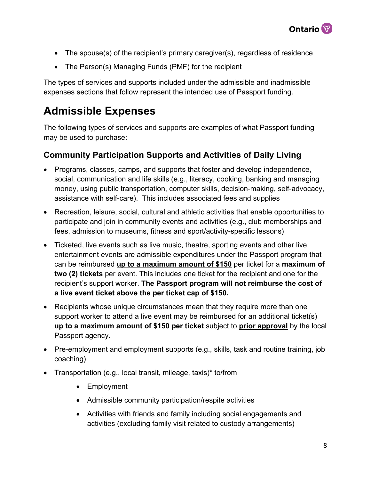

- The spouse(s) of the recipient's primary caregiver(s), regardless of residence
- The Person(s) Managing Funds (PMF) for the recipient

The types of services and supports included under the admissible and inadmissible expenses sections that follow represent the intended use of Passport funding.

## <span id="page-7-0"></span>**Admissible Expenses**

The following types of services and supports are examples of what Passport funding may be used to purchase:

#### **Community Participation Supports and Activities of Daily Living**

- Programs, classes, camps, and supports that foster and develop independence, social, communication and life skills (e.g., literacy, cooking, banking and managing money, using public transportation, computer skills, decision-making, self-advocacy, assistance with self-care). This includes associated fees and supplies
- Recreation, leisure, social, cultural and athletic activities that enable opportunities to participate and join in community events and activities (e.g., club memberships and fees, admission to museums, fitness and sport/activity-specific lessons)
- Ticketed, live events such as live music, theatre, sporting events and other live entertainment events are admissible expenditures under the Passport program that can be reimbursed **up to a maximum amount of \$150** per ticket for a **maximum of two (2) tickets** per event. This includes one ticket for the recipient and one for the recipient's support worker. **The Passport program will not reimburse the cost of a live event ticket above the per ticket cap of \$150.**
- Recipients whose unique circumstances mean that they require more than one support worker to attend a live event may be reimbursed for an additional ticket(s) **up to a maximum amount of \$150 per ticket** subject to **prior approval** by the local Passport agency.
- Pre-employment and employment supports (e.g., skills, task and routine training, job coaching)
- Transportation (e.g., local transit, mileage, taxis)**\*** to/from
	- Employment
	- Admissible community participation/respite activities
	- Activities with friends and family including social engagements and activities (excluding family visit related to custody arrangements)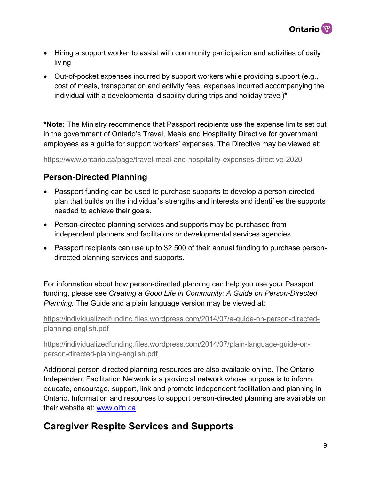

- Hiring a support worker to assist with community participation and activities of daily living
- Out-of-pocket expenses incurred by support workers while providing support (e.g., cost of meals, transportation and activity fees, expenses incurred accompanying the individual with a developmental disability during trips and holiday travel)**\***

**\*Note:** The Ministry recommends that Passport recipients use the expense limits set out in the government of Ontario's Travel, Meals and Hospitality Directive for government employees as a guide for support workers' expenses. The Directive may be viewed at:

<https://www.ontario.ca/page/travel-meal-and-hospitality-expenses-directive-2020>

#### **Person-Directed Planning**

- Passport funding can be used to purchase supports to develop a person-directed plan that builds on the individual's strengths and interests and identifies the supports needed to achieve their goals.
- Person-directed planning services and supports may be purchased from independent planners and facilitators or developmental services agencies.
- Passport recipients can use up to \$2,500 of their annual funding to purchase persondirected planning services and supports.

For information about how person-directed planning can help you use your Passport funding, please see *Creating a Good Life in Community: A Guide on Person-Directed Planning.* The Guide and a plain language version may be viewed at:

[https://individualizedfunding.files.wordpress.com/2014/07/a-guide-on-person-directed](https://individualizedfunding.files.wordpress.com/2014/07/a-guide-on-person-directed-planning-english.pdf)[planning-english.pdf](https://individualizedfunding.files.wordpress.com/2014/07/a-guide-on-person-directed-planning-english.pdf) 

[https://individualizedfunding.files.wordpress.com/2014/07/plain-language-guide-on](https://individualizedfunding.files.wordpress.com/2014/07/plain-language-guide-on-person-directed-planing-english.pdf)[person-directed-planing-english.pdf](https://individualizedfunding.files.wordpress.com/2014/07/plain-language-guide-on-person-directed-planing-english.pdf) 

Additional person-directed planning resources are also available online. The Ontario Independent Facilitation Network is a provincial network whose purpose is to inform, educate, encourage, support, link and promote independent facilitation and planning in Ontario. Information and resources to support person-directed planning are available on their website at: www.oifn.ca

## **Caregiver Respite Services and Supports**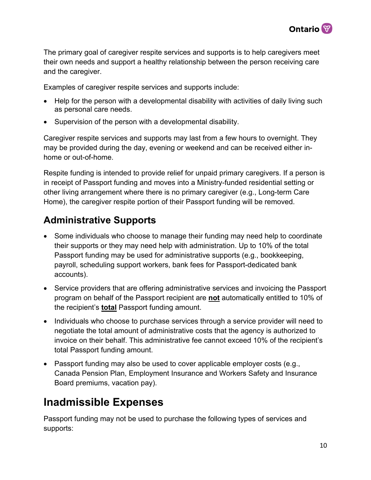

The primary goal of caregiver respite services and supports is to help caregivers meet their own needs and support a healthy relationship between the person receiving care and the caregiver.

Examples of caregiver respite services and supports include:

- Help for the person with a developmental disability with activities of daily living such as personal care needs.
- Supervision of the person with a developmental disability.

Caregiver respite services and supports may last from a few hours to overnight. They may be provided during the day, evening or weekend and can be received either inhome or out-of-home.

Respite funding is intended to provide relief for unpaid primary caregivers. If a person is in receipt of Passport funding and moves into a Ministry-funded residential setting or other living arrangement where there is no primary caregiver (e.g., Long-term Care Home), the caregiver respite portion of their Passport funding will be removed.

## **Administrative Supports**

- Some individuals who choose to manage their funding may need help to coordinate their supports or they may need help with administration. Up to 10% of the total Passport funding may be used for administrative supports (e.g., bookkeeping, payroll, scheduling support workers, bank fees for Passport-dedicated bank accounts).
- Service providers that are offering administrative services and invoicing the Passport program on behalf of the Passport recipient are **not** automatically entitled to 10% of the recipient's **total** Passport funding amount.
- Individuals who choose to purchase services through a service provider will need to negotiate the total amount of administrative costs that the agency is authorized to invoice on their behalf. This administrative fee cannot exceed 10% of the recipient's total Passport funding amount.
- Passport funding may also be used to cover applicable employer costs (e.g., Canada Pension Plan, Employment Insurance and Workers Safety and Insurance Board premiums, vacation pay).

## <span id="page-9-0"></span>**Inadmissible Expenses**

Passport funding may not be used to purchase the following types of services and supports: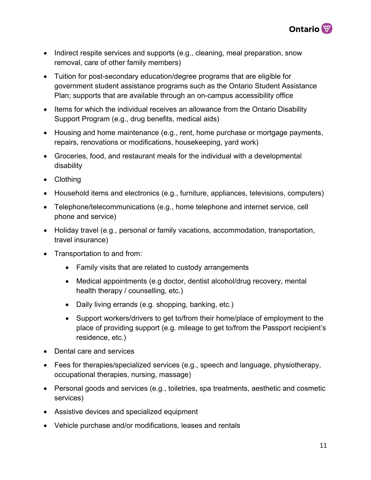

- Indirect respite services and supports (e.g., cleaning, meal preparation, snow removal, care of other family members)
- Tuition for post-secondary education/degree programs that are eligible for government student assistance programs such as the Ontario Student Assistance Plan; supports that are available through an on-campus accessibility office
- Items for which the individual receives an allowance from the Ontario Disability Support Program (e.g., drug benefits, medical aids)
- Housing and home maintenance (e.g., rent, home purchase or mortgage payments, repairs, renovations or modifications, housekeeping, yard work)
- Groceries, food, and restaurant meals for the individual with a developmental disability
- Clothing
- Household items and electronics (e.g., furniture, appliances, televisions, computers)
- Telephone/telecommunications (e.g., home telephone and internet service, cell phone and service)
- Holiday travel (e.g., personal or family vacations, accommodation, transportation, travel insurance)
- Transportation to and from:
	- Family visits that are related to custody arrangements
	- Medical appointments (e.g doctor, dentist alcohol/drug recovery, mental health therapy / counselling, etc.)
	- Daily living errands (e.g. shopping, banking, etc.)
	- Support workers/drivers to get to/from their home/place of employment to the place of providing support (e.g. mileage to get to/from the Passport recipient's residence, etc.)
- Dental care and services
- Fees for therapies/specialized services (e.g., speech and language, physiotherapy, occupational therapies, nursing, massage)
- Personal goods and services (e.g., toiletries, spa treatments, aesthetic and cosmetic services)
- Assistive devices and specialized equipment
- Vehicle purchase and/or modifications, leases and rentals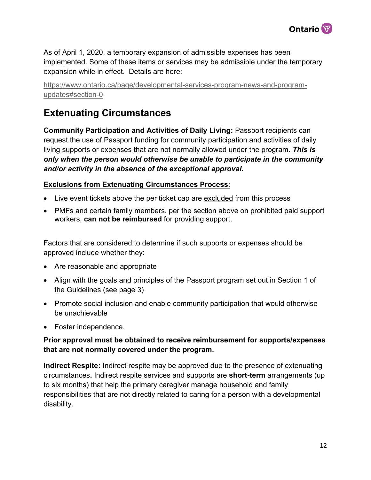

As of April 1, 2020, a temporary expansion of admissible expenses has been implemented. Some of these items or services may be admissible under the temporary expansion while in effect. Details are here:

[https://www.ontario.ca/page/developmental-services-program-news-and-program](https://www.ontario.ca/page/developmental-services-program-news-and-program-updates#section-0)[updates#section-0](https://www.ontario.ca/page/developmental-services-program-news-and-program-updates#section-0) 

## <span id="page-11-0"></span>**Extenuating Circumstances**

**Community Participation and Activities of Daily Living:** Passport recipients can request the use of Passport funding for community participation and activities of daily living supports or expenses that are not normally allowed under the program. *This is only when the person would otherwise be unable to participate in the community and/or activity in the absence of the exceptional approval.* 

#### **Exclusions from Extenuating Circumstances Process**:

- Live event tickets above the per ticket cap are excluded from this process
- PMFs and certain family members, per the section above on prohibited paid support workers, **can not be reimbursed** for providing support.

Factors that are considered to determine if such supports or expenses should be approved include whether they:

- Are reasonable and appropriate
- Align with the goals and principles of the Passport program set out in Section 1 of the Guidelines (see page 3)
- Promote social inclusion and enable community participation that would otherwise be unachievable
- Foster independence.

#### **Prior approval must be obtained to receive reimbursement for supports/expenses that are not normally covered under the program.**

**Indirect Respite:** Indirect respite may be approved due to the presence of extenuating circumstances**.** Indirect respite services and supports are **short-term** arrangements (up to six months) that help the primary caregiver manage household and family responsibilities that are not directly related to caring for a person with a developmental disability.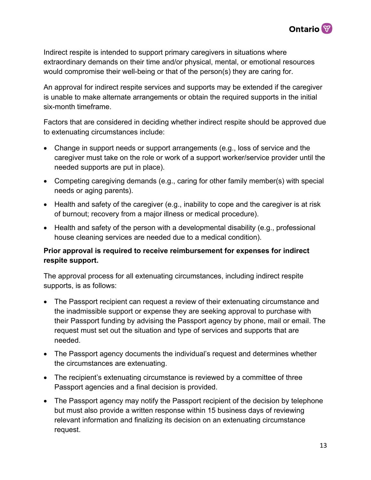

Indirect respite is intended to support primary caregivers in situations where extraordinary demands on their time and/or physical, mental, or emotional resources would compromise their well-being or that of the person(s) they are caring for.

An approval for indirect respite services and supports may be extended if the caregiver is unable to make alternate arrangements or obtain the required supports in the initial six-month timeframe.

Factors that are considered in deciding whether indirect respite should be approved due to extenuating circumstances include:

- Change in support needs or support arrangements (e.g., loss of service and the caregiver must take on the role or work of a support worker/service provider until the needed supports are put in place).
- Competing caregiving demands (e.g., caring for other family member(s) with special needs or aging parents).
- Health and safety of the caregiver (e.g., inability to cope and the caregiver is at risk of burnout; recovery from a major illness or medical procedure).
- Health and safety of the person with a developmental disability (e.g., professional house cleaning services are needed due to a medical condition).

#### **Prior approval is required to receive reimbursement for expenses for indirect respite support.**

The approval process for all extenuating circumstances, including indirect respite supports, is as follows:

- The Passport recipient can request a review of their extenuating circumstance and the inadmissible support or expense they are seeking approval to purchase with their Passport funding by advising the Passport agency by phone, mail or email. The request must set out the situation and type of services and supports that are needed.
- The Passport agency documents the individual's request and determines whether the circumstances are extenuating.
- The recipient's extenuating circumstance is reviewed by a committee of three Passport agencies and a final decision is provided.
- The Passport agency may notify the Passport recipient of the decision by telephone but must also provide a written response within 15 business days of reviewing relevant information and finalizing its decision on an extenuating circumstance request.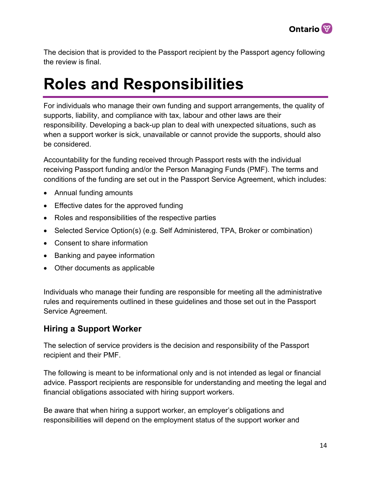

The decision that is provided to the Passport recipient by the Passport agency following the review is final.

## <span id="page-13-0"></span>**Roles and Responsibilities**

For individuals who manage their own funding and support arrangements, the quality of supports, liability, and compliance with tax, labour and other laws are their responsibility. Developing a back-up plan to deal with unexpected situations, such as when a support worker is sick, unavailable or cannot provide the supports, should also be considered.

Accountability for the funding received through Passport rests with the individual receiving Passport funding and/or the Person Managing Funds (PMF). The terms and conditions of the funding are set out in the Passport Service Agreement, which includes:

- Annual funding amounts
- Effective dates for the approved funding
- Roles and responsibilities of the respective parties
- Selected Service Option(s) (e.g. Self Administered, TPA, Broker or combination)
- Consent to share information
- Banking and payee information
- Other documents as applicable

Individuals who manage their funding are responsible for meeting all the administrative rules and requirements outlined in these guidelines and those set out in the Passport Service Agreement.

#### <span id="page-13-1"></span>**Hiring a Support Worker**

The selection of service providers is the decision and responsibility of the Passport recipient and their PMF.

The following is meant to be informational only and is not intended as legal or financial advice. Passport recipients are responsible for understanding and meeting the legal and financial obligations associated with hiring support workers.

Be aware that when hiring a support worker, an employer's obligations and responsibilities will depend on the employment status of the support worker and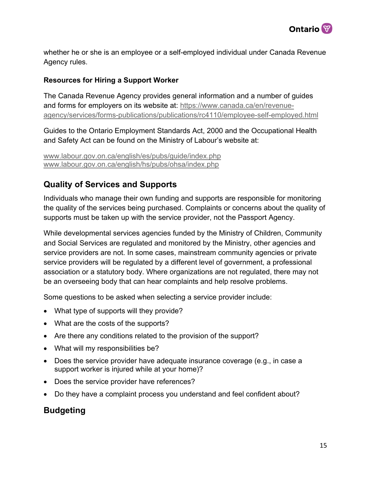

whether he or she is an employee or a self-employed individual under Canada Revenue Agency rules.

#### **Resources for Hiring a Support Worker**

The Canada Revenue Agency provides general information and a number of guides and forms for employers on its website at: [https://www.canada.ca/en/revenue](https://www.canada.ca/en/revenue-agency/services/forms-publications/publications/rc4110/employee-self-employed.html)[agency/services/forms-publications/publications/rc4110/employee-self-employed.html](https://www.canada.ca/en/revenue-agency/services/forms-publications/publications/rc4110/employee-self-employed.html) 

Guides to the Ontario Employment Standards Act, 2000 and the Occupational Health and Safety Act can be found on the Ministry of Labour's website at:

```
www.labour.gov.on.ca/english/es/pubs/guide/index.php 
www.labour.gov.on.ca/english/hs/pubs/ohsa/index.php
```
#### <span id="page-14-0"></span>**Quality of Services and Supports**

Individuals who manage their own funding and supports are responsible for monitoring the quality of the services being purchased. Complaints or concerns about the quality of supports must be taken up with the service provider, not the Passport Agency.

While developmental services agencies funded by the Ministry of Children, Community and Social Services are regulated and monitored by the Ministry, other agencies and service providers are not. In some cases, mainstream community agencies or private service providers will be regulated by a different level of government, a professional association or a statutory body. Where organizations are not regulated, there may not be an overseeing body that can hear complaints and help resolve problems.

Some questions to be asked when selecting a service provider include:

- What type of supports will they provide?
- What are the costs of the supports?
- Are there any conditions related to the provision of the support?
- What will my responsibilities be?
- Does the service provider have adequate insurance coverage (e.g., in case a support worker is injured while at your home)?
- Does the service provider have references?
- Do they have a complaint process you understand and feel confident about?

#### <span id="page-14-1"></span>**Budgeting**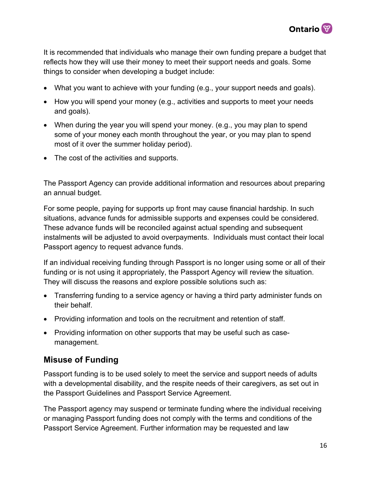

It is recommended that individuals who manage their own funding prepare a budget that reflects how they will use their money to meet their support needs and goals. Some things to consider when developing a budget include:

- What you want to achieve with your funding (e.g., your support needs and goals).
- How you will spend your money (e.g., activities and supports to meet your needs and goals).
- When during the year you will spend your money. (e.g., you may plan to spend some of your money each month throughout the year, or you may plan to spend most of it over the summer holiday period).
- The cost of the activities and supports.

The Passport Agency can provide additional information and resources about preparing an annual budget.

For some people, paying for supports up front may cause financial hardship. In such situations, advance funds for admissible supports and expenses could be considered. These advance funds will be reconciled against actual spending and subsequent instalments will be adjusted to avoid overpayments. Individuals must contact their local Passport agency to request advance funds.

If an individual receiving funding through Passport is no longer using some or all of their funding or is not using it appropriately, the Passport Agency will review the situation. They will discuss the reasons and explore possible solutions such as:

- Transferring funding to a service agency or having a third party administer funds on their behalf.
- Providing information and tools on the recruitment and retention of staff.
- Providing information on other supports that may be useful such as casemanagement.

#### <span id="page-15-0"></span>**Misuse of Funding**

Passport funding is to be used solely to meet the service and support needs of adults with a developmental disability, and the respite needs of their caregivers, as set out in the Passport Guidelines and Passport Service Agreement.

The Passport agency may suspend or terminate funding where the individual receiving or managing Passport funding does not comply with the terms and conditions of the Passport Service Agreement. Further information may be requested and law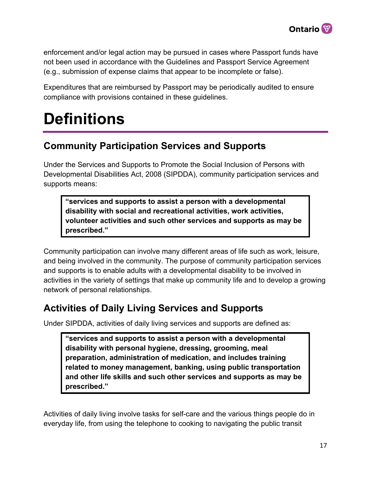

enforcement and/or legal action may be pursued in cases where Passport funds have not been used in accordance with the Guidelines and Passport Service Agreement (e.g., submission of expense claims that appear to be incomplete or false).

Expenditures that are reimbursed by Passport may be periodically audited to ensure compliance with provisions contained in these guidelines.

# <span id="page-16-0"></span>**Definitions**

## **Community Participation Services and Supports**

Under the Services and Supports to Promote the Social Inclusion of Persons with Developmental Disabilities Act, 2008 (SIPDDA), community participation services and supports means:

**"services and supports to assist a person with a developmental disability with social and recreational activities, work activities, volunteer activities and such other services and supports as may be prescribed."** 

Community participation can involve many different areas of life such as work, leisure, and being involved in the community. The purpose of community participation services and supports is to enable adults with a developmental disability to be involved in activities in the variety of settings that make up community life and to develop a growing network of personal relationships.

## **Activities of Daily Living Services and Supports**

Under SIPDDA, activities of daily living services and supports are defined as:

**"services and supports to assist a person with a developmental disability with personal hygiene, dressing, grooming, meal preparation, administration of medication, and includes training related to money management, banking, using public transportation and other life skills and such other services and supports as may be prescribed."** 

Activities of daily living involve tasks for self-care and the various things people do in everyday life, from using the telephone to cooking to navigating the public transit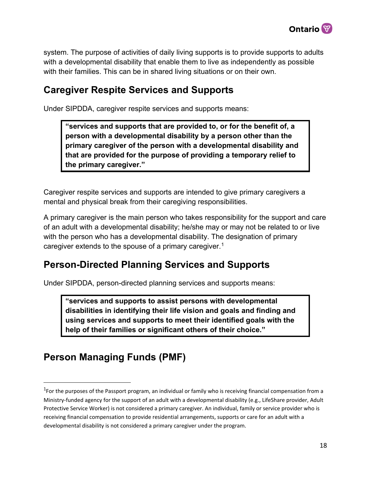

system. The purpose of activities of daily living supports is to provide supports to adults with a developmental disability that enable them to live as independently as possible with their families. This can be in shared living situations or on their own.

### **Caregiver Respite Services and Supports**

Under SIPDDA, caregiver respite services and supports means:

**"services and supports that are provided to, or for the benefit of, a person with a developmental disability by a person other than the primary caregiver of the person with a developmental disability and that are provided for the purpose of providing a temporary relief to the primary caregiver."** 

Caregiver respite services and supports are intended to give primary caregivers a mental and physical break from their caregiving responsibilities.

A primary caregiver is the main person who takes responsibility for the support and care of an adult with a developmental disability; he/she may or may not be related to or live with the person who has a developmental disability. The designation of primary caregiver extends to the spouse of a primary caregiver.1

### **Person-Directed Planning Services and Supports**

Under SIPDDA, person-directed planning services and supports means:

**"services and supports to assist persons with developmental disabilities in identifying their life vision and goals and finding and using services and supports to meet their identified goals with the help of their families or significant others of their choice."** 

## **Person Managing Funds (PMF)**

<sup>&</sup>lt;sup>1</sup>For the purposes of the Passport program, an individual or family who is receiving financial compensation from a Ministry-funded agency for the support of an adult with a developmental disability (e.g., LifeShare provider, Adult Protective Service Worker) is not considered a primary caregiver. An individual, family or service provider who is receiving financial compensation to provide residential arrangements, supports or care for an adult with a developmental disability is not considered a primary caregiver under the program.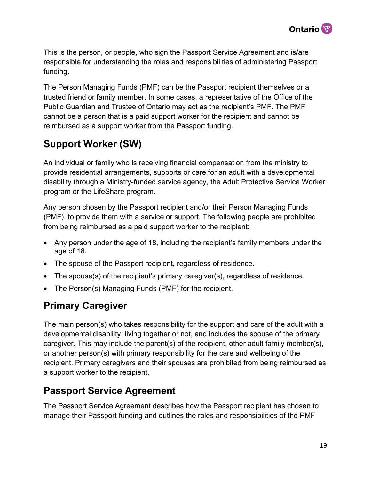

This is the person, or people, who sign the Passport Service Agreement and is/are responsible for understanding the roles and responsibilities of administering Passport funding.

The Person Managing Funds (PMF) can be the Passport recipient themselves or a trusted friend or family member. In some cases, a representative of the Office of the Public Guardian and Trustee of Ontario may act as the recipient's PMF. The PMF cannot be a person that is a paid support worker for the recipient and cannot be reimbursed as a support worker from the Passport funding.

## **Support Worker (SW)**

An individual or family who is receiving financial compensation from the ministry to provide residential arrangements, supports or care for an adult with a developmental disability through a Ministry-funded service agency, the Adult Protective Service Worker program or the LifeShare program.

Any person chosen by the Passport recipient and/or their Person Managing Funds (PMF), to provide them with a service or support. The following people are prohibited from being reimbursed as a paid support worker to the recipient:

- Any person under the age of 18, including the recipient's family members under the age of 18.
- The spouse of the Passport recipient, regardless of residence.
- The spouse(s) of the recipient's primary caregiver(s), regardless of residence.
- The Person(s) Managing Funds (PMF) for the recipient.

## **Primary Caregiver**

The main person(s) who takes responsibility for the support and care of the adult with a developmental disability, living together or not, and includes the spouse of the primary caregiver. This may include the parent(s) of the recipient, other adult family member(s), or another person(s) with primary responsibility for the care and wellbeing of the recipient. Primary caregivers and their spouses are prohibited from being reimbursed as a support worker to the recipient.

### **Passport Service Agreement**

The Passport Service Agreement describes how the Passport recipient has chosen to manage their Passport funding and outlines the roles and responsibilities of the PMF